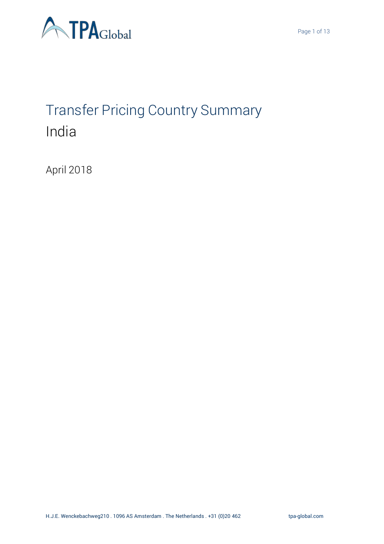

# Transfer Pricing Country Summary India

April 2018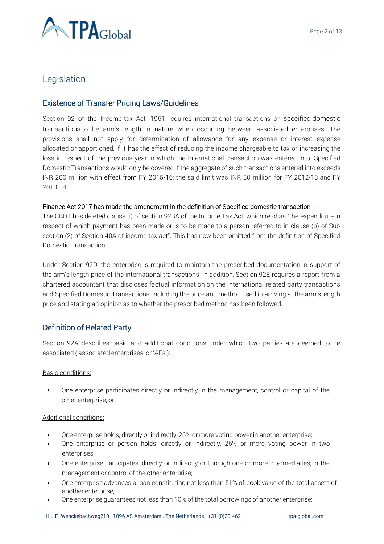

# **Legislation**

### Existence of Transfer Pricing Laws/Guidelines

Section 92 of the Income-tax Act, 1961 requires international transactions or specified domestic transactions to be arm's length in nature when occurring between associated enterprises. The provisions shall not apply for determination of allowance for any expense or interest expense allocated or apportioned, if it has the effect of reducing the income chargeable to tax or increasing the loss in respect of the previous year in which the international transaction was entered into. Specified Domestic Transactions would only be covered if the aggregate of such transactions entered into exceeds INR 200 million with effect from FY 2015-16; the said limit was INR 50 million for FY 2012-13 and FY 2013-14.

#### Finance Act 2017 has made the amendment in the definition of Specified domestic transaction –

The CBDT has deleted clause (i) of section 92BA of the Income Tax Act, which read as "the expenditure in respect of which payment has been made or is to be made to a person referred to in clause (b) of Sub section (2) of Section 40A of income tax act". This has now been omitted from the definition of Specified Domestic Transaction.

Under Section 92D, the enterprise is required to maintain the prescribed documentation in support of the arm's length price of the international transactions. In addition, Section 92E requires a report from a chartered accountant that discloses factual information on the international related party transactions and Specified Domestic Transactions, including the price and method used in arriving at the arm's length price and stating an opinion as to whether the prescribed method has been followed.

## Definition of Related Party

Section 92A describes basic and additional conditions under which two parties are deemed to be associated ('associated enterprises' or 'AEs'):

#### Basic conditions:

▪ One enterprise participates directly or indirectly in the management, control or capital of the other enterprise; or

#### Additional conditions:

- One enterprise holds, directly or indirectly, 26% or more voting power in another enterprise;
- One enterprise or person holds, directly or indirectly, 26% or more voting power in two enterprises;
- One enterprise participates, directly or indirectly or through one or more intermediaries, in the management or control of the other enterprise;
- One enterprise advances a loan constituting not less than 51% of book value of the total assets of another enterprise;
- One enterprise guarantees not less than 10% of the total borrowings of another enterprise;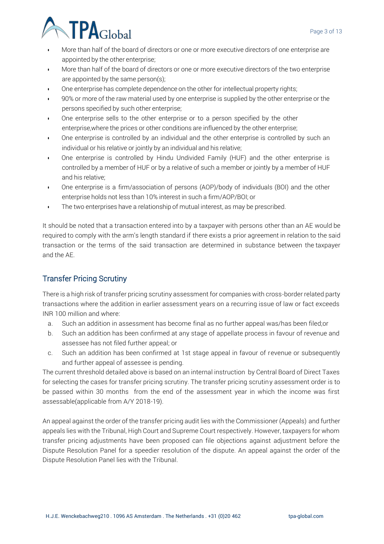

- More than half of the board of directors or one or more executive directors of one enterprise are appointed by the other enterprise;
- More than half of the board of directors or one or more executive directors of the two enterprise are appointed by the same person(s);
- One enterprise has complete dependence on the other for intellectual property rights;
- 90% or more of the raw material used by one enterprise is supplied by the other enterprise or the persons specified by such other enterprise;
- One enterprise sells to the other enterprise or to a person specified by the other enterprise,where the prices or other conditions are influenced by the other enterprise;
- One enterprise is controlled by an individual and the other enterprise is controlled by such an individual or his relative or jointly by an individual and his relative;
- One enterprise is controlled by Hindu Undivided Family (HUF) and the other enterprise is controlled by a member of HUF or by a relative of such a member or jointly by a member of HUF and his relative;
- One enterprise is a firm/association of persons (AOP)/body of individuals (BOI) and the other enterprise holds not less than 10% interest in such a firm/AOP/BOI; or
- The two enterprises have a relationship of mutual interest, as may be prescribed.

It should be noted that a transaction entered into by a taxpayer with persons other than an AE would be required to comply with the arm's length standard if there exists a prior agreement in relation to the said transaction or the terms of the said transaction are determined in substance between the taxpayer and the AE.

## Transfer Pricing Scrutiny

There is a high risk of transfer pricing scrutiny assessment for companies with cross-border related party transactions where the addition in earlier assessment years on a recurring issue of law or fact exceeds INR 100 million and where:

- a. Such an addition in assessment has become final as no further appeal was/has been filed;or
- b. Such an addition has been confirmed at any stage of appellate process in favour of revenue and assessee has not filed further appeal; or
- c. Such an addition has been confirmed at 1st stage appeal in favour of revenue or subsequently and further appeal of assessee is pending.

The current threshold detailed above is based on an internal instruction by Central Board of Direct Taxes for selecting the cases for transfer pricing scrutiny. The transfer pricing scrutiny assessment order is to be passed within 30 months from the end of the assessment year in which the income was first assessable(applicable from A/Y 2018-19).

An appeal against the order of the transfer pricing audit lies with the Commissioner (Appeals) and further appeals lies with the Tribunal, High Court and Supreme Court respectively. However, taxpayers for whom transfer pricing adjustments have been proposed can file objections against adjustment before the Dispute Resolution Panel for a speedier resolution of the dispute. An appeal against the order of the Dispute Resolution Panel lies with the Tribunal.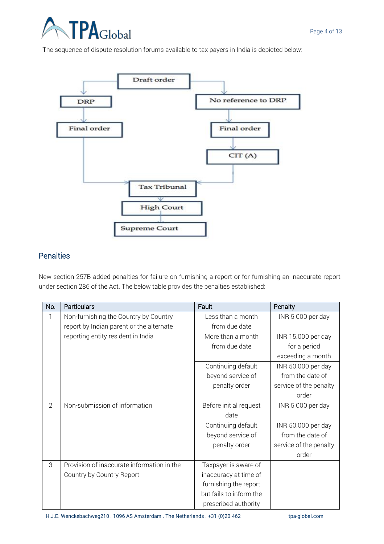

The sequence of dispute resolution forums available to tax payers in India is depicted below:



## **Penalties**

New section 257B added penalties for failure on furnishing a report or for furnishing an inaccurate report under section 286 of the Act. The below table provides the penalties established:

| No. | <b>Particulars</b>                         | Fault                   | Penalty                |
|-----|--------------------------------------------|-------------------------|------------------------|
| 1   | Non-furnishing the Country by Country      | Less than a month       | INR 5.000 per day      |
|     | report by Indian parent or the alternate   | from due date           |                        |
|     | reporting entity resident in India         | More than a month       | INR 15.000 per day     |
|     |                                            | from due date           | for a period           |
|     |                                            |                         | exceeding a month      |
|     |                                            | Continuing default      | INR 50.000 per day     |
|     |                                            | beyond service of       | from the date of       |
|     |                                            | penalty order           | service of the penalty |
|     |                                            |                         | order                  |
| 2   | Non-submission of information              | Before initial request  | INR 5.000 per day      |
|     |                                            | date                    |                        |
|     |                                            | Continuing default      | INR 50.000 per day     |
|     |                                            | beyond service of       | from the date of       |
|     |                                            | penalty order           | service of the penalty |
|     |                                            |                         | order                  |
| 3   | Provision of inaccurate information in the | Taxpayer is aware of    |                        |
|     | Country by Country Report                  | inaccuracy at time of   |                        |
|     |                                            | furnishing the report   |                        |
|     |                                            | but fails to inform the |                        |
|     |                                            | prescribed authority    |                        |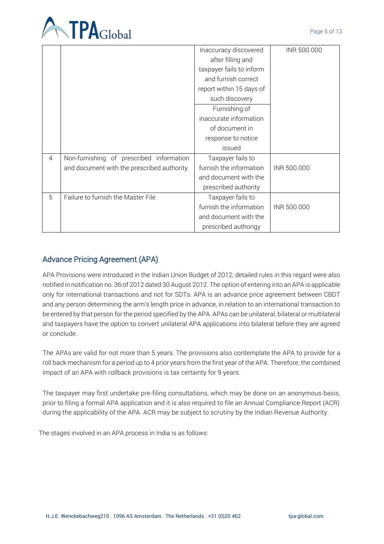

|   |                                            | Inaccuracy discovered    | INR 500.000 |
|---|--------------------------------------------|--------------------------|-------------|
|   |                                            | after filling and        |             |
|   |                                            | taxpayer fails to inform |             |
|   |                                            | and furnish correct      |             |
|   |                                            | report within 15 days of |             |
|   |                                            | such discovery           |             |
|   |                                            | Furnishing of            |             |
|   |                                            | inaccurate information   |             |
|   |                                            | of document in           |             |
|   |                                            | response to notice       |             |
|   |                                            | issued                   |             |
| 4 | Non-furnishing of prescribed information   | Taxpayer fails to        |             |
|   | and document with the prescribed authority | furnish the information  | INR 500.000 |
|   |                                            | and document with the    |             |
|   |                                            | prescribed authority     |             |
| 5 | Failure to furnish the Master File         | Taxpayer fails to        |             |
|   |                                            | furnish the information  | INR 500.000 |
|   |                                            | and document with the    |             |
|   |                                            | prescribed authorigy     |             |

## Advance Pricing Agreement (APA)

APA Provisions were introduced in the Indian Union Budget of 2012; detailed rules in this regard were also notified in notification no. 36 of 2012 dated 30 August 2012. The option of entering into an APA is applicable only for international transactions and not for SDTs. APA is an advance price agreement between CBDT and any person determining the arm's length price in advance, in relation to an international transaction to be entered by that person for the period specified by the APA. APAs can be unilateral, bilateral or multilateral and taxpayers have the option to convert unilateral APA applications into bilateral before they are agreed or conclude.

The APAs are valid for not more than 5 years. The provisions also contemplate the APA to provide for a roll back mechanism for a period up to 4 prior years from the first year of the APA. Therefore, the combined impact of an APA with rollback provisions is tax certainty for 9 years.

The taxpayer may first undertake pre-filing consultations, which may be done on an anonymous basis, prior to filing a formal APA application and it is also required to file an Annual Compliance Report (ACR) during the applicability of the APA. ACR may be subject to scrutiny by the Indian Revenue Authority.

The stages involved in an APA process in India is as follows: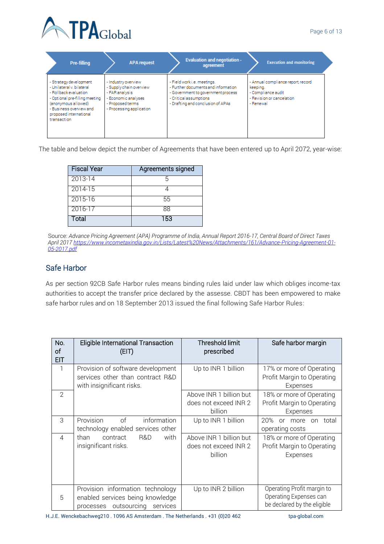

| <b>Pre-filling</b>                                                                                                                                                                                        | <b>APA</b> request                                                                                                                      | <b>Evaluation and negotiation -</b><br>agreement                                                                                                                        | <b>Execution and monitoring</b>                                                                               |
|-----------------------------------------------------------------------------------------------------------------------------------------------------------------------------------------------------------|-----------------------------------------------------------------------------------------------------------------------------------------|-------------------------------------------------------------------------------------------------------------------------------------------------------------------------|---------------------------------------------------------------------------------------------------------------|
| - Strategy development<br>- Unilateral v. bilateral<br>- Rollback evaluation<br>- Optional pre-filling meeting<br>(anonymous allowed)<br>- Business overview and<br>proposed international<br>transaction | - Industry overview<br>- Supply chain overview<br>- FAR analysis<br>- Economic analyses<br>- Proposed terms<br>- Processing application | - Field work i.e. meetings.<br>- Further documents and information<br>- Government to government process<br>- Critical assumptions<br>- Drafting and conclusion of APAs | - Annual compliance report record<br>keeping.<br>- Compliance audit<br>- Revision or cancelation<br>- Renewal |

The table and below depict the number of Agreements that have been entered up to April 2072, year-wise:

| <b>Fiscal Year</b> | Agreements signed |
|--------------------|-------------------|
| $2013 - 14$        |                   |
| 2014-15            |                   |
| 2015-16            | 55                |
| 2016-17            | 88                |
| Total              | 153               |

 Source: *Advance Pricing Agreement (APA) Programme of India, Annual Report 2016-17, Central Board of Direct Taxes April 2017 [https://www.incometaxindia.gov.in/Lists/Latest%20News/Attachments/161/Advance-Pricing-Agreement-01-](https://www.incometaxindia.gov.in/Lists/Latest%20News/Attachments/161/Advance-Pricing-Agreement-01-05-2017.pdf) [05-2017.pdf](https://www.incometaxindia.gov.in/Lists/Latest%20News/Attachments/161/Advance-Pricing-Agreement-01-05-2017.pdf)*

## Safe Harbor

As per section 92CB Safe Harbor rules means binding rules laid under law which obliges income-tax authorities to accept the transfer price declared by the assesse. CBDT has been empowered to make safe harbor rules and on 18 September 2013 issued the final following Safe Harbor Rules:

| No.<br>of<br><b>EIT</b> | Eligible International Transaction<br>(EIT)                                                                  | <b>Threshold limit</b><br>prescribed                        | Safe harbor margin                                                                  |
|-------------------------|--------------------------------------------------------------------------------------------------------------|-------------------------------------------------------------|-------------------------------------------------------------------------------------|
|                         | Provision of software development<br>services other than contract R&D<br>with insignificant risks.           | Up to INR 1 billion                                         | 17% or more of Operating<br>Profit Margin to Operating<br>Expenses                  |
| $\overline{2}$          |                                                                                                              | Above INR 1 billion but<br>does not exceed INR 2<br>billion | 18% or more of Operating<br>Profit Margin to Operating<br>Expenses                  |
| 3                       | Provision<br>of<br>information<br>technology enabled services other                                          | Up to INR 1 billion                                         | 20%<br>or more<br>total<br>on<br>operating costs                                    |
| $\overline{4}$          | than<br>R&D<br>with<br>contract<br>insignificant risks.                                                      | Above INR 1 billion but<br>does not exceed INR 2<br>billion | 18% or more of Operating<br>Profit Margin to Operating<br>Expenses                  |
| 5                       | Provision information technology<br>enabled services being knowledge<br>outsourcing<br>services<br>processes | Up to INR 2 billion                                         | Operating Profit margin to<br>Operating Expenses can<br>be declared by the eligible |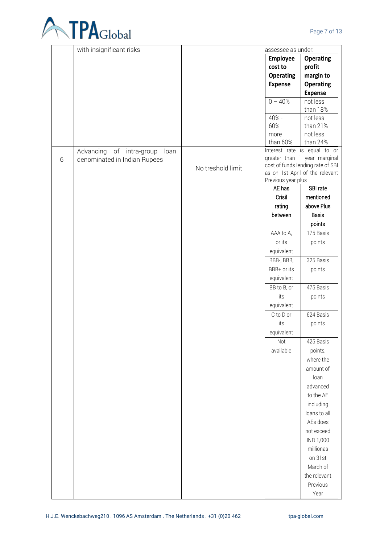

|   | with insignificant risks            |                   | assessee as under: |                                                              |
|---|-------------------------------------|-------------------|--------------------|--------------------------------------------------------------|
|   |                                     |                   | Employee           | <b>Operating</b>                                             |
|   |                                     |                   | cost to            | profit                                                       |
|   |                                     |                   | <b>Operating</b>   | margin to                                                    |
|   |                                     |                   | <b>Expense</b>     | <b>Operating</b>                                             |
|   |                                     |                   |                    | <b>Expense</b>                                               |
|   |                                     |                   | $0 - 40%$          | not less                                                     |
|   |                                     |                   |                    | than 18%                                                     |
|   |                                     |                   | 40% -              | not less                                                     |
|   |                                     |                   | 60%                | than 21%                                                     |
|   |                                     |                   | more               | not less                                                     |
|   |                                     |                   | than 60%           | than 24%                                                     |
|   | of intra-group<br>Advancing<br>loan |                   |                    | Interest rate is equal to or<br>greater than 1 year marginal |
| 6 | denominated in Indian Rupees        |                   |                    | cost of funds lending rate of SBI                            |
|   |                                     | No treshold limit |                    | as on 1st April of the relevant                              |
|   |                                     |                   | Previous year plus |                                                              |
|   |                                     |                   | AE has             | SBI rate                                                     |
|   |                                     |                   | Crisil             | mentioned                                                    |
|   |                                     |                   | rating             | above Plus                                                   |
|   |                                     |                   | between            | Basis                                                        |
|   |                                     |                   |                    | points                                                       |
|   |                                     |                   | AAA to A,          | 175 Basis                                                    |
|   |                                     |                   | or its             | points                                                       |
|   |                                     |                   | equivalent         |                                                              |
|   |                                     |                   | BBB-, BBB,         | 325 Basis                                                    |
|   |                                     |                   | BBB+ or its        | points                                                       |
|   |                                     |                   | equivalent         |                                                              |
|   |                                     |                   | BB to B, or        | 475 Basis                                                    |
|   |                                     |                   | its                | points                                                       |
|   |                                     |                   | equivalent         |                                                              |
|   |                                     |                   |                    |                                                              |
|   |                                     |                   | C to D or          | 624 Basis                                                    |
|   |                                     |                   | its                | points                                                       |
|   |                                     |                   | equivalent         |                                                              |
|   |                                     |                   | Not                | 425 Basis                                                    |
|   |                                     |                   | available          | points,                                                      |
|   |                                     |                   |                    | where the                                                    |
|   |                                     |                   |                    | amount of                                                    |
|   |                                     |                   |                    | loan                                                         |
|   |                                     |                   |                    | advanced                                                     |
|   |                                     |                   |                    | to the AE                                                    |
|   |                                     |                   |                    | including                                                    |
|   |                                     |                   |                    | loans to all                                                 |
|   |                                     |                   |                    | AEs does                                                     |
|   |                                     |                   |                    | not exceed                                                   |
|   |                                     |                   |                    | INR 1,000                                                    |
|   |                                     |                   |                    | millionas                                                    |
|   |                                     |                   |                    | on 31st                                                      |
|   |                                     |                   |                    | March of                                                     |
|   |                                     |                   |                    | the relevant                                                 |
|   |                                     |                   |                    | Previous                                                     |
|   |                                     |                   |                    | Year                                                         |
|   |                                     |                   |                    |                                                              |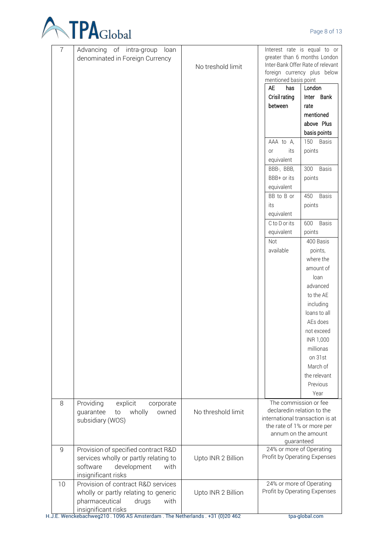

| 7  | Advancing of intra-group<br>loan      |                    |                                   | Interest rate is equal to or<br>greater than 6 months London |
|----|---------------------------------------|--------------------|-----------------------------------|--------------------------------------------------------------|
|    | denominated in Foreign Currency       | No treshold limit  |                                   | Inter-Bank Offer Rate of relevant                            |
|    |                                       |                    |                                   | foreign currency plus below                                  |
|    |                                       |                    | mentioned basis point             |                                                              |
|    |                                       |                    | <b>AE</b><br>has                  | London                                                       |
|    |                                       |                    | Crisil rating                     | Inter Bank                                                   |
|    |                                       |                    | between                           | rate                                                         |
|    |                                       |                    |                                   | mentioned                                                    |
|    |                                       |                    |                                   | above Plus                                                   |
|    |                                       |                    |                                   | basis points                                                 |
|    |                                       |                    | AAA to A,                         | 150 Basis                                                    |
|    |                                       |                    | its<br>or                         | points                                                       |
|    |                                       |                    | equivalent                        |                                                              |
|    |                                       |                    | BBB-, BBB,                        | <b>Basis</b><br>300                                          |
|    |                                       |                    | BBB+ or its                       | points                                                       |
|    |                                       |                    | equivalent                        |                                                              |
|    |                                       |                    | BB to B or                        | <b>Basis</b><br>450                                          |
|    |                                       |                    | its                               | points                                                       |
|    |                                       |                    | equivalent                        |                                                              |
|    |                                       |                    | C to D or its                     | 600<br><b>Basis</b>                                          |
|    |                                       |                    | equivalent                        | points                                                       |
|    |                                       |                    | Not                               | 400 Basis                                                    |
|    |                                       |                    | available                         | points,                                                      |
|    |                                       |                    |                                   | where the                                                    |
|    |                                       |                    |                                   | amount of<br>loan                                            |
|    |                                       |                    |                                   | advanced                                                     |
|    |                                       |                    |                                   | to the AE                                                    |
|    |                                       |                    |                                   |                                                              |
|    |                                       |                    |                                   | including<br>loans to all                                    |
|    |                                       |                    |                                   | AEs does                                                     |
|    |                                       |                    |                                   | not exceed                                                   |
|    |                                       |                    |                                   | INR 1,000                                                    |
|    |                                       |                    |                                   | millionas                                                    |
|    |                                       |                    |                                   | on 31st                                                      |
|    |                                       |                    |                                   | March of                                                     |
|    |                                       |                    |                                   | the relevant                                                 |
|    |                                       |                    |                                   | Previous                                                     |
|    |                                       |                    |                                   | Year                                                         |
| 8  | Providing<br>explicit<br>corporate    |                    | The commission or fee             |                                                              |
|    | wholly<br>guarantee<br>owned<br>to    | No threshold limit | declaredin relation to the        |                                                              |
|    | subsidiary (WOS)                      |                    | international transaction is at   |                                                              |
|    |                                       |                    | the rate of 1% or more per        |                                                              |
|    |                                       |                    | annum on the amount<br>quaranteed |                                                              |
| 9  | Provision of specified contract R&D   |                    | 24% or more of Operating          |                                                              |
|    | services wholly or partly relating to | Upto INR 2 Billion | Profit by Operating Expenses      |                                                              |
|    | software<br>development<br>with       |                    |                                   |                                                              |
|    | insignificant risks                   |                    |                                   |                                                              |
| 10 | Provision of contract R&D services    |                    | 24% or more of Operating          |                                                              |
|    | wholly or partly relating to generic  | Upto INR 2 Billion | Profit by Operating Expenses      |                                                              |
|    | pharmaceutical<br>with<br>drugs       |                    |                                   |                                                              |
|    | insignificant risks                   |                    |                                   |                                                              |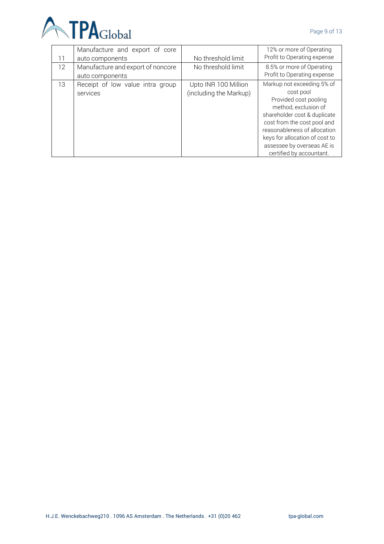

| 11                | Manufacture and export of core<br>auto components    | No threshold limit                             | 12% or more of Operating<br>Profit to Operating expense                                                                                                                                                                                                                             |
|-------------------|------------------------------------------------------|------------------------------------------------|-------------------------------------------------------------------------------------------------------------------------------------------------------------------------------------------------------------------------------------------------------------------------------------|
| $12 \overline{ }$ | Manufacture and export of noncore<br>auto components | No threshold limit                             | 8.5% or more of Operating<br>Profit to Operating expense                                                                                                                                                                                                                            |
| 13                | Receipt of low value intra group<br>services         | Upto INR 100 Million<br>(including the Markup) | Markup not exceeding 5% of<br>cost pool<br>Provided cost pooling<br>method, exclusion of<br>shareholder cost & duplicate<br>cost from the cost pool and<br>reasonableness of allocation<br>keys for allocation of cost to<br>assessee by overseas AE is<br>certified by accountant. |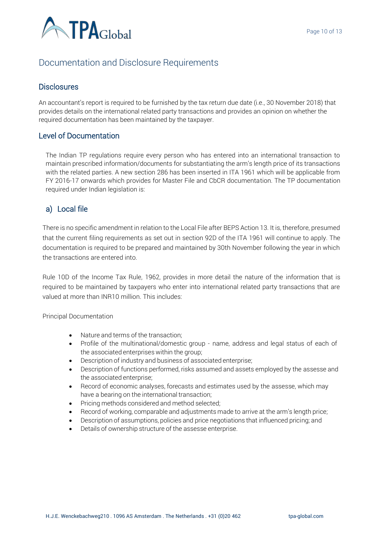

## Documentation and Disclosure Requirements

#### **Disclosures**

An accountant's report is required to be furnished by the tax return due date (i.e., 30 November 2018) that provides details on the international related party transactions and provides an opinion on whether the required documentation has been maintained by the taxpayer.

#### Level of Documentation

The Indian TP regulations require every person who has entered into an international transaction to maintain prescribed information/documents for substantiating the arm's length price of its transactions with the related parties. A new section 286 has been inserted in ITA 1961 which will be applicable from FY 2016-17 onwards which provides for Master File and CbCR documentation. The TP documentation required under Indian legislation is:

## a) Local file

There is no specific amendment in relation to the Local File after BEPS Action 13. It is, therefore, presumed that the current filing requirements as set out in section 92D of the ITA 1961 will continue to apply. The documentation is required to be prepared and maintained by 30th November following the year in which the transactions are entered into.

Rule 10D of the Income Tax Rule, 1962, provides in more detail the nature of the information that is required to be maintained by taxpayers who enter into international related party transactions that are valued at more than INR10 million. This includes:

Principal Documentation

- Nature and terms of the transaction;
- Profile of the multinational/domestic group name, address and legal status of each of the associated enterprises within the group;
- Description of industry and business of associated enterprise;
- Description of functions performed, risks assumed and assets employed by the assesse and the associated enterprise;
- Record of economic analyses, forecasts and estimates used by the assesse, which may have a bearing on the international transaction;
- Pricing methods considered and method selected;
- Record of working, comparable and adjustments made to arrive at the arm's length price;
- Description of assumptions, policies and price negotiations that influenced pricing; and
- Details of ownership structure of the assesse enterprise.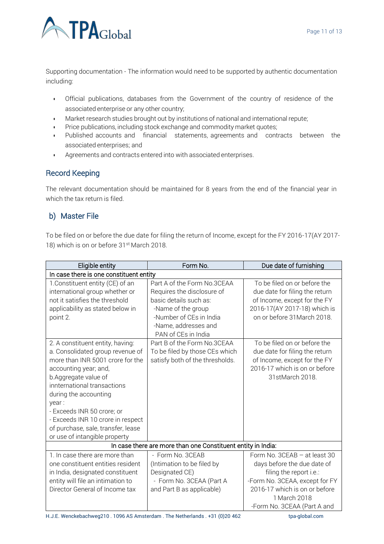

Supporting documentation - The information would need to be supported by authentic documentation including:

- Official publications, databases from the Government of the country of residence of the associated enterprise or any other country;
- Market research studies brought out by institutions of national and international repute;
- Price publications, including stock exchange and commodity market quotes;
- Published accounts and financial statements, agreements and contracts between the associated enterprises; and
- Agreements and contracts entered into with associated enterprises.

#### Record Keeping

The relevant documentation should be maintained for 8 years from the end of the financial year in which the tax return is filed.

#### b) Master File

To be filed on or before the due date for filing the return of Income, except for the FY 2016-17(AY 2017- 18) which is on or before 31<sup>st</sup> March 2018.

| Eligible entity                                                                                                                                                                                                                                                                                                                                                      | Form No.                                                                                                                                                                            | Due date of furnishing                                                                                                                                                                                   |  |  |
|----------------------------------------------------------------------------------------------------------------------------------------------------------------------------------------------------------------------------------------------------------------------------------------------------------------------------------------------------------------------|-------------------------------------------------------------------------------------------------------------------------------------------------------------------------------------|----------------------------------------------------------------------------------------------------------------------------------------------------------------------------------------------------------|--|--|
| In case there is one constituent entity                                                                                                                                                                                                                                                                                                                              |                                                                                                                                                                                     |                                                                                                                                                                                                          |  |  |
| 1. Constituent entity (CE) of an<br>international group whether or<br>not it satisfies the threshold<br>applicability as stated below in<br>point 2.                                                                                                                                                                                                                 | Part A of the Form No.3CEAA<br>Requires the disclosure of<br>basic details such as:<br>-Name of the group<br>-Number of CEs in India<br>-Name, addresses and<br>PAN of CEs in India | To be filed on or before the<br>due date for filing the return<br>of Income, except for the FY<br>2016-17(AY 2017-18) which is<br>on or before 31 March 2018.                                            |  |  |
| 2. A constituent entity, having:<br>a. Consolidated group revenue of<br>more than INR 5001 crore for the<br>accounting year; and,<br>b.Aggregate value of<br>innternational transactions<br>during the accounting<br>year:<br>- Exceeds INR 50 crore; or<br>- Exceeds INR 10 crore in respect<br>of purchase, sale, transfer, lease<br>or use of intangible property | Part B of the Form No.3CEAA<br>To be filed by those CEs which<br>satisfy both of the thresholds.                                                                                    | To be filed on or before the<br>due date for filing the return<br>of Income, except for the FY<br>2016-17 which is on or before<br>31stMarch 2018.                                                       |  |  |
|                                                                                                                                                                                                                                                                                                                                                                      | In case there are more than one Constituent entity in India:                                                                                                                        |                                                                                                                                                                                                          |  |  |
| 1. In case there are more than<br>one constituent entities resident<br>in India, designated constituent<br>entity will file an intimation to<br>Director General of Income tax                                                                                                                                                                                       | - Form No. 3CEAB<br>(Intimation to be filed by<br>Designated CE)<br>- Form No. 3CEAA (Part A<br>and Part B as applicable)                                                           | Form No. 3CEAB - at least 30<br>days before the due date of<br>filing the report i.e.:<br>-Form No. 3CEAA, except for FY<br>2016-17 which is on or before<br>1 March 2018<br>-Form No. 3CEAA (Part A and |  |  |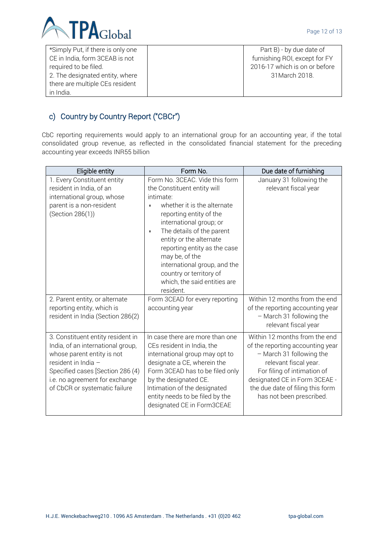

| *Simply Put, if there is only one | Part B) - by due date of      |
|-----------------------------------|-------------------------------|
| CE in India, form 3CEAB is not    | furnishing ROI, except for FY |
| required to be filed.             | 2016-17 which is on or before |
| 2. The designated entity, where   | 31 March 2018.                |
| there are multiple CEs resident   |                               |
| in India.                         |                               |

# c) Country by Country Report ("CBCr")

CbC reporting requirements would apply to an international group for an accounting year, if the total consolidated group revenue, as reflected in the consolidated financial statement for the preceding accounting year exceeds INR55 billion

| Eligible entity                                                                                                                                                                                                                    | Form No.                                                                                                                                                                                                                                                                                                                                                                                       | Due date of furnishing                                                                                                                                                                                                                                 |
|------------------------------------------------------------------------------------------------------------------------------------------------------------------------------------------------------------------------------------|------------------------------------------------------------------------------------------------------------------------------------------------------------------------------------------------------------------------------------------------------------------------------------------------------------------------------------------------------------------------------------------------|--------------------------------------------------------------------------------------------------------------------------------------------------------------------------------------------------------------------------------------------------------|
| 1. Every Constituent entity<br>resident in India, of an<br>international group, whose<br>parent is a non-resident<br>(Section 286(1))                                                                                              | Form No. 3CEAC. Vide this form<br>the Constituent entity will<br>intimate:<br>whether it is the alternate<br>reporting entity of the<br>international group; or<br>The details of the parent<br>$\bullet$<br>entity or the alternate<br>reporting entity as the case<br>may be, of the<br>international group, and the<br>country or territory of<br>which, the said entities are<br>resident. | January 31 following the<br>relevant fiscal year                                                                                                                                                                                                       |
| 2. Parent entity, or alternate<br>reporting entity, which is<br>resident in India (Section 286(2)                                                                                                                                  | Form 3CEAD for every reporting<br>accounting year                                                                                                                                                                                                                                                                                                                                              | Within 12 months from the end<br>of the reporting accounting year<br>- March 31 following the<br>relevant fiscal year                                                                                                                                  |
| 3. Constituent entity resident in<br>India, of an international group,<br>whose parent entity is not<br>resident in India -<br>Specified cases [Section 286 (4)<br>i.e. no agreement for exchange<br>of CbCR or systematic failure | In case there are more than one<br>CEs resident in India, the<br>international group may opt to<br>designate a CE, wherein the<br>Form 3CEAD has to be filed only<br>by the designated CE.<br>Intimation of the designated<br>entity needs to be filed by the<br>designated CE in Form3CEAE                                                                                                    | Within 12 months from the end<br>of the reporting accounting year<br>- March 31 following the<br>relevant fiscal year.<br>For filing of intimation of<br>designated CE in Form 3CEAE -<br>the due date of filing this form<br>has not been prescribed. |